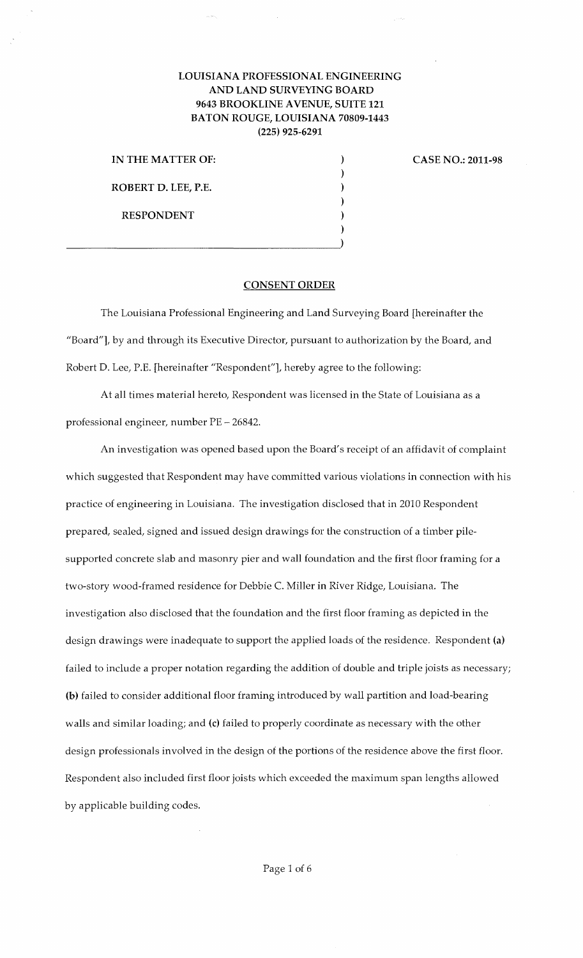## LOUISIANA PROFESSIONAL ENGINEERING AND LAND SURVEYING BOARD 9643 BROOKLINE AVENUE, SUITE 121 BATON ROUGE, LOUISIANA 70809-1443 (225) 925-6291

) ) ) ) ) )

IN THE MATTER OF: ROBERT D. LEE, P.E. RESPONDENT

 $\overline{\phantom{a}}$ 

CASE NO.: 2011-98

## CONSENT ORDER

The Louisiana Professional Engineering and Land Surveying Board [hereinafter the "Board"], by and through its Executive Director, pursuant to authorization by the Board, and Robert D. Lee, P.E. [hereinafter "Respondent"], hereby agree to the following:

At all times material hereto, Respondent was licensed in the State of Louisiana as a professional engineer, number PE- 26842.

An investigation was opened based upon the Board's receipt of an affidavit of complaint which suggested that Respondent may have committed various violations in connection with his practice of engineering in Louisiana. The investigation disclosed that in 2010 Respondent prepared, sealed, signed and issued design drawings for the construction of a timber pilesupported concrete slab and masonry pier and wall foundation and the first floor framing for a two-story wood-framed residence for Debbie C. Miller in River Ridge, Louisiana. The investigation also disclosed that the foundation and the first floor framing as depicted in the design drawings were inadequate to support the applied loads of the residence. Respondent (a) failed to include a proper notation regarding the addition of double and triple joists as necessary; (b) failed to consider additional floor framing introduced by wall partition and load-bearing walls and similar loading; and (c) failed to properly coordinate as necessary with the other design professionals involved in the design of the portions of the residence above the first floor. Respondent also included first floor joists which exceeded the maximum span lengths allowed by applicable building codes.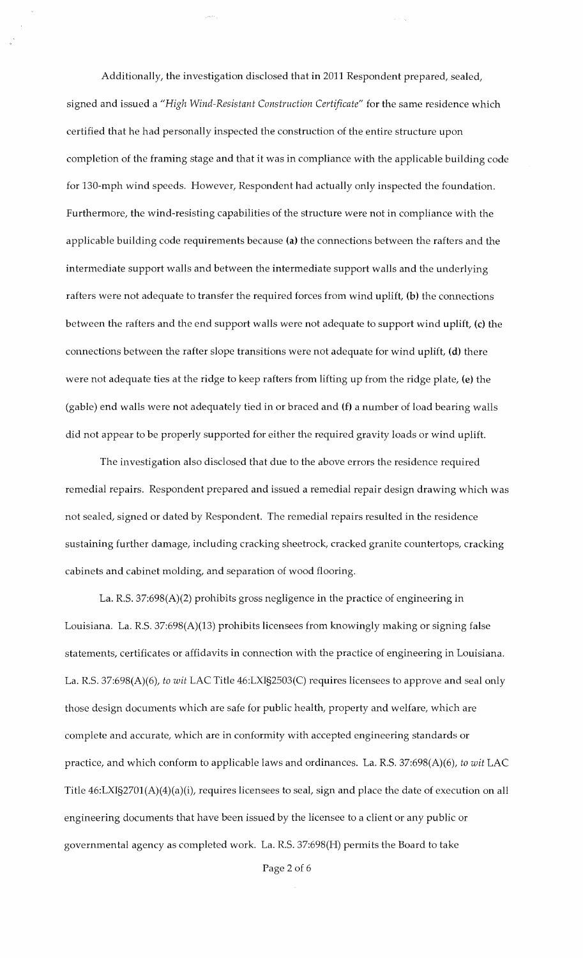Additionally, the investigation disclosed that in 2011 Respondent prepared, sealed, signed and issued a *"High Wind-Resistant Construction Certificate"* for the same residence which certified that he had personally inspected the construction of the entire structure upon completion of the framing stage and that it was in compliance with the applicable building code for 130-mph wind speeds. However, Respondent had actually only inspected the foundation. Furthermore, the wind-resisting capabilities of the structure were not in compliance with the applicable building code requirements because (a) the connections between the rafters and the intermediate support walls and between the intermediate support walls and the underlying rafters were not adequate to transfer the required forces from wind uplift, (b) the connections between the rafters and the end support walls were not adequate to support wind uplift, (c) the connections between the rafter slope transitions were not adequate for wind uplift, (d) there were not adequate ties at the ridge to keep rafters from lifting up from the ridge plate, (e) the (gable) end walls were not adequately tied in or braced and (f) a number of load bearing walls did not appear to be properly supported for either the required gravity loads or wind uplift.

The investigation also disclosed that due to the above errors the residence required remedial repairs. Respondent prepared and issued a remedial repair design drawing which was not sealed, signed or dated by Respondent. The remedial repairs resulted in the residence sustaining further damage, including cracking sheetrock, cracked granite countertops, cracking cabinets and cabinet molding, and separation of wood flooring.

La. R.S. 37:698(A)(2) prohibits gross negligence in the practice of engineering in Louisiana. La. R.S. 37:698(A)(13) prohibits licensees from knowingly making or signing false statements, certificates or affidavits in connection with the practice of engineering in Louisiana. La. R.S. 37:698(A)(6), *to wit* LAC Title 46:LXI§2503(C) requires licensees to approve and seal only those design documents which are safe for public health, property and welfare, which are complete and accurate, which are in conformity with accepted engineering standards or practice, and which conform to applicable laws and ordinances. La. R.S. 37:698(A)(6), *to wit* LAC Title 46:LXI§2701(A)(4)(a)(i), requires licensees to seal, sign and place the date of execution on all engineering documents that have been issued by the licensee to a client or any public or governmental agency as completed work. La. R.S. 37:698(H) permits the Board to take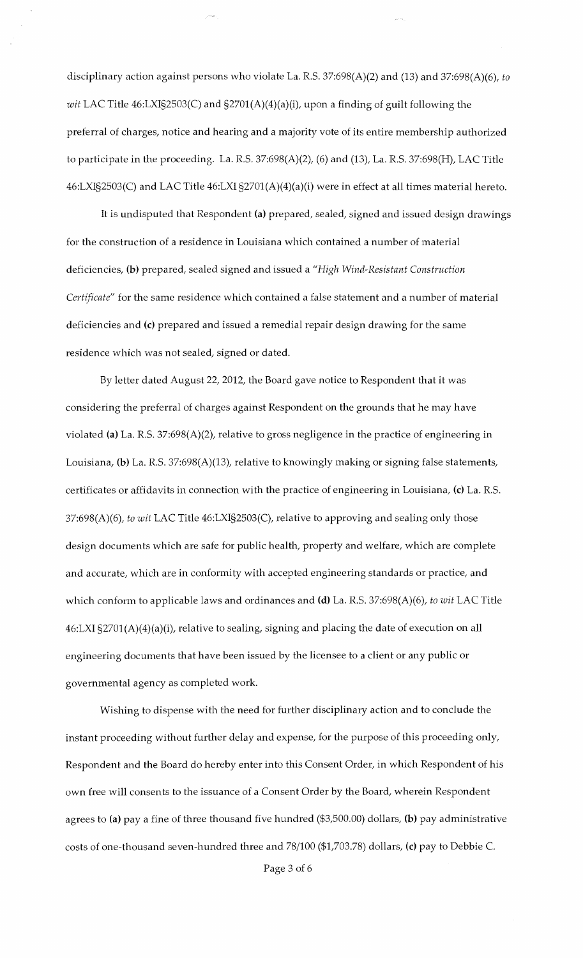disciplinary action against persons who violate La. R.S. 37:698(A)(2) and (13) and 37:698(A)(6), *to wit* LAC Title 46:LXI§2503(C) and §2701(A)(4)(a)(i), upon a finding of guilt following the preferral of charges, notice and hearing and a majority vote of its entire membership authorized to participate in the proceeding. La. R.S.  $37:698(A)(2)$ , (6) and (13), La. R.S.  $37:698(H)$ , LAC Title 46:LXI§2503(C) and LAC Title 46:LXI §270l(A)(4)(a)(i) were in effect at all times material hereto.

It is undisputed that Respondent (a) prepared, sealed, signed and issued design drawings for the construction of a residence in Louisiana which contained a number of material deficiencies, **(b)** prepared, sealed signed and issued a *"High Wind-Resistant Construction Certificate"* for the same residence which contained a false statement and a number of material deficiencies and (c) prepared and issued a remedial repair design drawing for the same residence which was not sealed, signed or dated.

By letter dated August 22, 2012, the Board gave notice to Respondent that it was considering the preferral of charges against Respondent on the grounds that he may have violated (a) La. R.S. 37:698(A)(2), relative to gross negligence in the practice of engineering in Louisiana, **(b)** La. R.S. 37:698(A)(13), relative to knowingly making or signing false statements, certificates or affidavits in connection with the practice of engineering in Louisiana, (c) La. R.S. 37:698(A)(6), *to wit* LAC Title 46:LXI§2503(C), relative to approving and sealing only those design documents which are safe for public health, property and welfare, which are complete and accurate, which are in conformity with accepted engineering standards or practice, and which conform to applicable laws and ordinances and **(d)** La. R.S. 37:698(A)(6), *to wit* LAC Title 46:LXI §2701(A)(4)(a)(i), relative to sealing, signing and placing the date of execution on all engineering documents that have been issued by the licensee to a client or any public or governmental agency as completed work.

Wishing to dispense with the need for further disciplinary action and to conclude the instant proceeding without further delay and expense, for the purpose of this proceeding only, Respondent and the Board do hereby enter into this Consent Order, in which Respondent of his own free will consents to the issuance of a Consent Order by the Board, wherein Respondent agrees to (a) pay a fine of three thousand five hundred (\$3,500.00) dollars, **(b)** pay administrative costs of one-thousand seven-hundred three and 78/100 (\$1,703.78) dollars, (c) pay to Debbie C.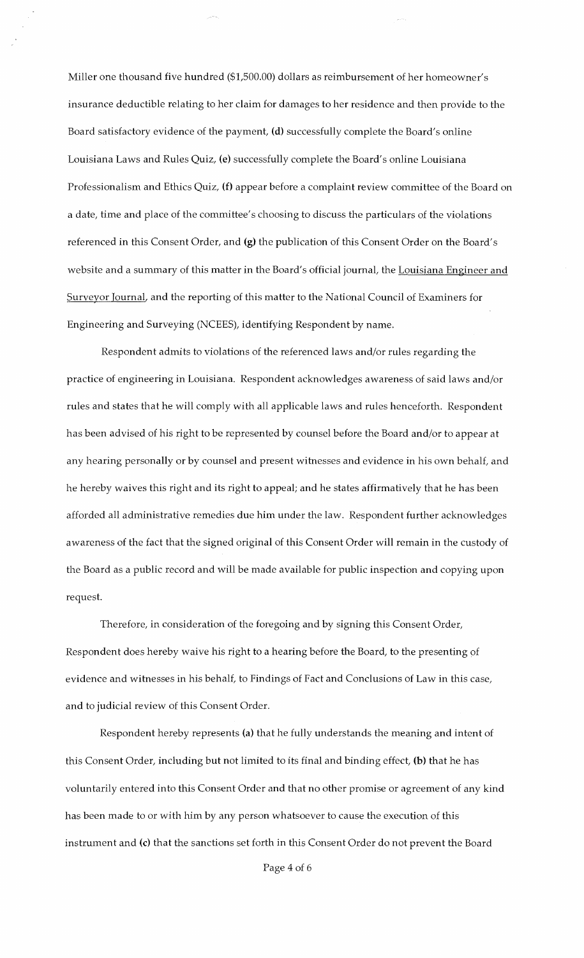Miller one thousand five hundred (\$1,500.00) dollars as reimbursement of her homeowner's insurance deductible relating to her claim for damages to her residence and then provide to the Board satisfactory evidence of the payment, (d) successfully complete the Board's online Louisiana Laws and Rules Quiz, (e) successfully complete the Board's online Louisiana Professionalism and Ethics Quiz, (f) appear before a complaint review committee of the Board on a date, time and place of the committee's choosing to discuss the particulars of the violations referenced in this Consent Order, and (g) the publication of this Consent Order on the Board's website and a summary of this matter in the Board's official journal, the Louisiana Engineer and Surveyor Journal, and the reporting of this matter to the National Council of Examiners for Engineering and Surveying (NCEES), identifying Respondent by name.

Respondent admits to violations of the referenced laws and/or rules regarding the practice of engineering in Louisiana. Respondent acknowledges awareness of said laws and/or rules and states that he will comply with all applicable laws and rules henceforth. Respondent has been advised of his right to be represented by counsel before the Board and/or to appear at any hearing personally or by counsel and present witnesses and evidence in his own behalf, and he hereby waives this right and its right to appeal; and he states affirmatively that he has been afforded all administrative remedies due him under the law. Respondent further acknowledges awareness of the fact that the signed original of this Consent Order will remain in the custody of the Board as a public record and will be made available for public inspection and copying upon request.

Therefore, in consideration of the foregoing and by signing this Consent Order, Respondent does hereby waive his right to a hearing before the Board, to the presenting of evidence and witnesses in his behalf, to Findings of Fact and Conclusions of Law in this case, and to judicial review of this Consent Order.

Respondent hereby represents (a) that he fully understands the meaning and intent of this Consent Order, including but not limited to its final and binding effect, (b) that he has voluntarily entered into this Consent Order and that no other promise or agreement of any kind has been made to or with him by any person whatsoever to cause the execution of this instrument and (c) that the sanctions set forth in this Consent Order do not prevent the Board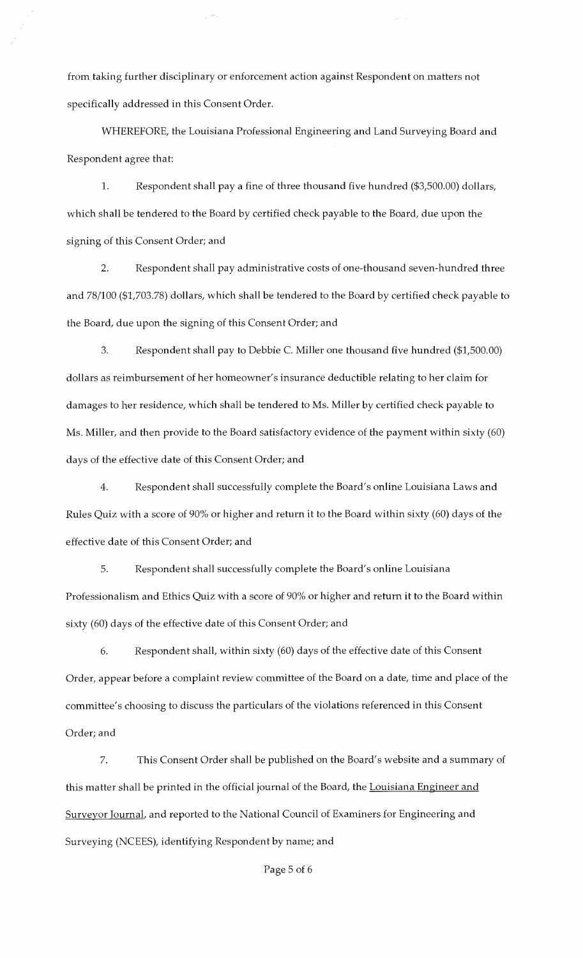from taking further disciplinary or enforcement action against Respondent on matters not specifically addressed in this Consent Order.

WHEREFORE, the Louisiana Professional Engineering and Land Surveying Board and Respondent agree that:

1. Respondent shall pay a fine of three thousand five hundred (\$3,500.00) dollars, which shall be tendered to the Board by certified check payable to the Board, due upon the signing of this Consent Order; and

2. Respondent shall pay administrative costs of one-thousand seven-hundred three and 78/100 (\$1,703.78) dollars, which shall be tendered to the Board by certified check payable to the Board, due upon the signing of this Consent Order; and

3. Respondent shall pay to Debbie C. Miller one thousand five hundred (\$1,500.00) dollars as reimbursement of her homeowner's insurance deductible relating to her claim for damages to her residence, which shall be tendered to Ms. Miller by certified check payable to Ms. Miller, and then provide to the Board satisfactory evidence of the payment within sixty (60) days of the effective date of this Consent Order; and

4. Respondent shall successfully complete the Board's online Louisiana Laws and Rules Quiz with a score of 90% or higher and return it to the Board within sixty (60) days of the effective date of this Consent Order; and

5. Respondent shall successfully complete the Board's online Louisiana Professionalism and Ethics Quiz with a score of 90% or higher and return it to the Board within sixty (60) days of the effective date of this Consent Order; and

6. Respondent shall, within sixty (60) days of the effective date of this Consent Order, appear before a complaint review committee of the Board on a date, time and place of the committee's choosing to discuss the particulars of the violations referenced in this Consent Order; and

7. This Consent Order shall be published on the Board's website and a summary of this matter shall be printed in the official journal of the Board, the Louisiana Engineer and Surveyor Journal, and reported to the National Council of Examiners for Engineering and Surveying (NCEES), identifying Respondent by name; and

Page 5 of 6